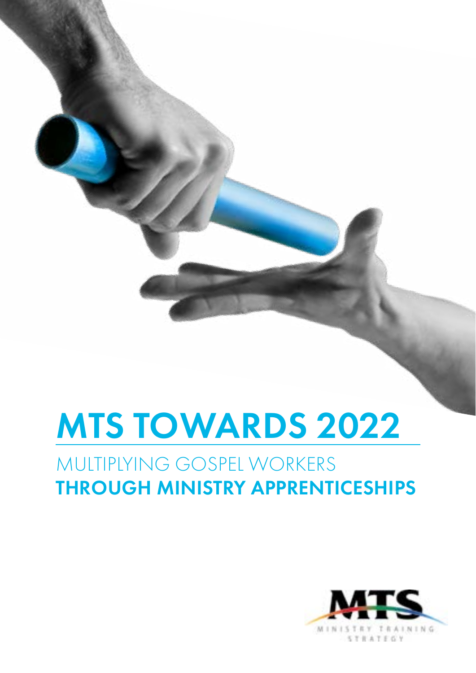# MTS TOWARDS 2022

### MULTIPLYING GOSPEL WORKERS THROUGH MINISTRY APPRENTICESHIPS

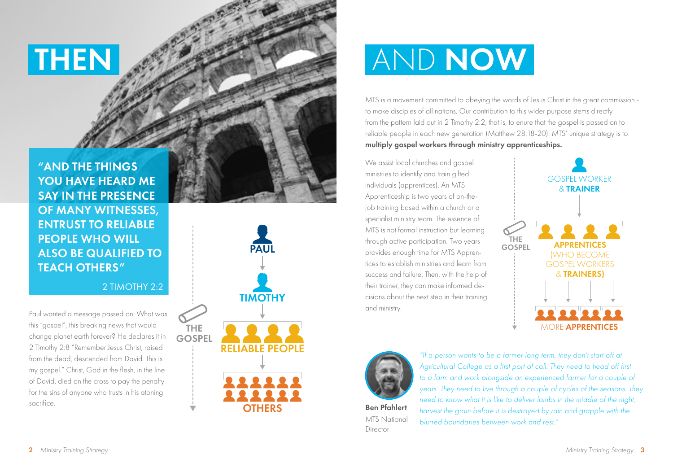"AND THE THINGS YOU HAVE HEARD ME SAY IN THE PRESENCE OF MANY WITNESSES, ENTRUST TO RELIABLE PEOPLE WHO WILL ALSO BE QUALIFIED TO TEACH OTHERS"

2 TIMOTHY 2:2

Paul wanted a message passed on. What was this "gospel", this breaking news that would change planet earth forever? He declares it in 2 Timothy 2:8 "Remember Jesus Christ, raised from the dead, descended from David. This is my gospel." Christ, God in the flesh, in the line of David, died on the cross to pay the penalty for the sins of anyone who trusts in his atoning sacrifice.



# THEN AND NOW

MTS is a movement committed to obeying the words of Jesus Christ in the great commission to make disciples of all nations. Our contribution to this wider purpose stems directly from the pattern laid out in 2 Timothy 2:2, that is, to enure that the gospel is passed on to reliable people in each new generation (Matthew 28:18-20). MTS' unique strategy is to multiply gospel workers through ministry apprenticeships.

We assist local churches and gospel ministries to identify and train gifted individuals (apprentices). An MTS Apprenticeship is two years of on-thejob training based within a church or a specialist ministry team. The essence of MTS is not formal instruction but learning through active participation. Two years provides enough time for MTS Apprentices to establish ministries and learn from success and failure. Then, with the help of their trainer, they can make informed decisions about the next step in their training and ministry.





MTS National Director

*"If a person wants to be a farmer long term, they don't start off at Agricultural College as a first port of call. They need to head off first to a farm and work alongside an experienced farmer for a couple of years. They need to live through a couple of cycles of the seasons. They need to know what it is like to deliver lambs in the middle of the night, harvest the grain before it is destroyed by rain and grapple with the blurred boundaries between work and rest."*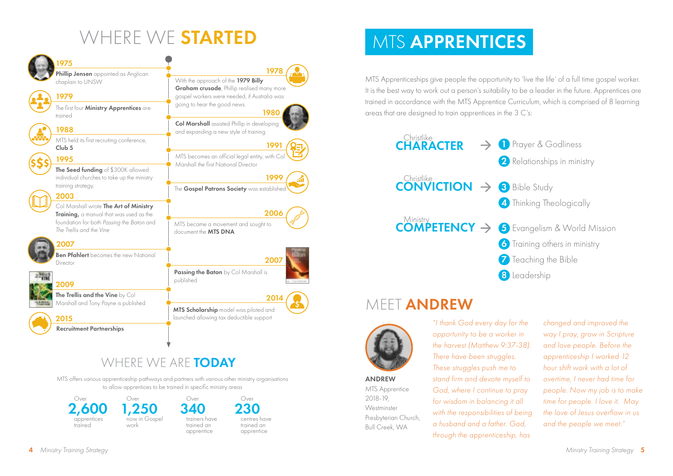## WHERE WE STARTED



### WHERE WE ARE TODAY

MTS offers various apprenticeship pathways and partners with various other ministry organisations to allow apprentices to be trained in specific ministry areas



### **MTS APPRENTICES**

MTS Apprenticeships give people the opportunity to 'live the life' of a full time gospel worker. It is the best way to work out a person's suitability to be a leader in the future. Apprentices are trained in accordance with the MTS Apprentice Curriculum, which is comprised of 8 learning areas that are designed to train apprentices in the 3 C's:



### MEET **ANDREW**



ANDREW MTS Apprentice 2018-19, **Westminster** Presbyterian Church, Bull Creek, WA

*"I thank God every day for the opportunity to be a worker in the harvest (Matthew 9:37-38). There have been struggles. These struggles push me to stand firm and devote myself to God, where I continue to pray for wisdom in balancing it all with the responsibilities of being a husband and a father. God, through the apprenticeship, has* 

*changed and improved the way I pray, grow in Scripture and love people. Before the apprenticeship I worked 12 hour shift work with a lot of overtime, I never had time for people. Now my job is to make time for people. I love it. May the love of Jesus overflow in us and the people we meet."*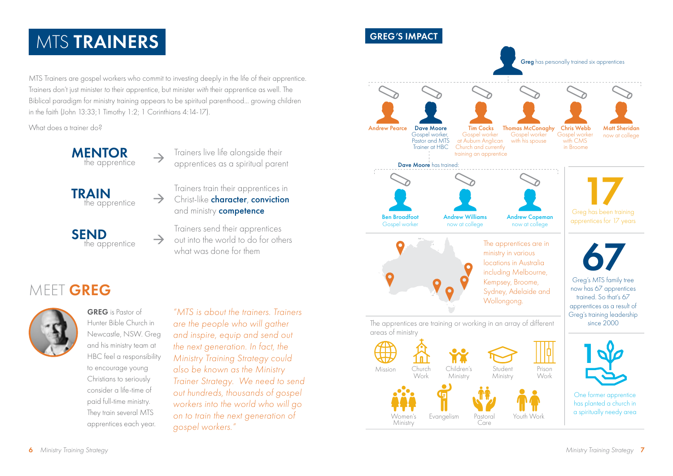### **MTS TRAINERS**

MTS Trainers are gospel workers who commit to investing deeply in the life of their apprentice. Trainers don't just minister *to* their apprentice, but minister *with* their apprentice as well. The Biblical paradigm for ministry training appears to be spiritual parenthood... growing children in the faith (John 13:33;1 Timothy 1:2; 1 Corinthians 4:14-17).

 $\rightarrow$ 

What does a trainer do?

**MENTOR** the apprentice

the apprentice

the apprentice

**TRAIN** 

SEND

Trainers live life alongside their apprentices as a spiritual parent

Trainers train their apprentices in Christ-like character, conviction and ministry **competence** 

Trainers send their apprentices out into the world to do for others what was done for them

### MEET GREG



GREG is Pastor of Hunter Bible Church in Newcastle, NSW. Greg and his ministry team at HBC feel a responsibility to encourage young Christians to seriously consider a life-time of paid full-time ministry. They train several MTS apprentices each year.

*"MTS is about the trainers. Trainers are the people who will gather and inspire, equip and send out the next generation. In fact, the Ministry Training Strategy could also be known as the Ministry Trainer Strategy. We need to send out hundreds, thousands of gospel workers into the world who will go on to train the next generation of gospel workers."* 

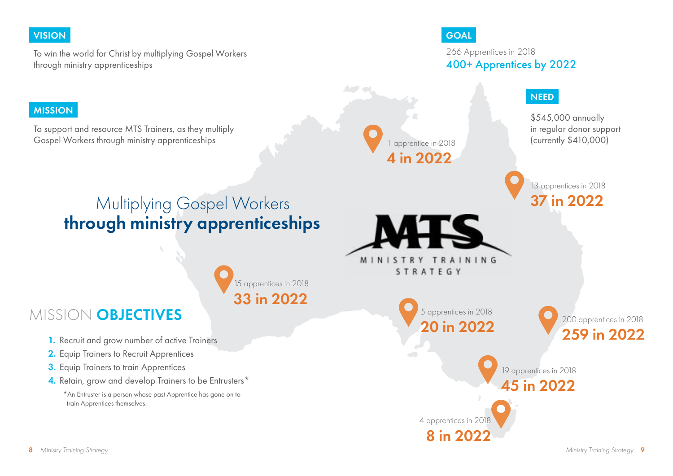### VISION DE COAL COMPANY DE COAL COMPANY DE COAL COMPANY DE COAL COMPANY DE COAL COMPANY DE COAL COMPANY DE COAL

To win the world for Christ by multiplying Gospel Workers through ministry apprenticeships

266 Apprentices in 2018 400+ Apprentices by 2022

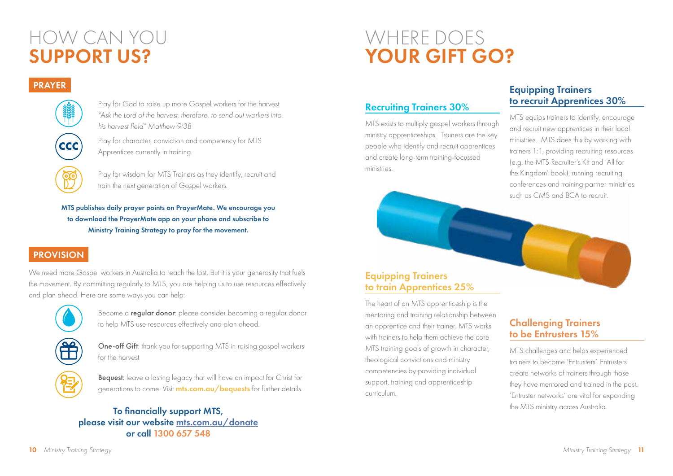### HOW CAN YOU SUPPORT US?

## WHERE DOES YOUR GIFT GO?

### PRAYER



Pray for God to raise up more Gospel workers for the harvest *"Ask the Lord of the harvest, therefore, to send out workers into his harvest field" Matthew 9:38*

Pray for character, conviction and competency for MTS Apprentices currently in training.

Pray for wisdom for MTS Trainers as they identify, recruit and train the next generation of Gospel workers.

MTS publishes daily prayer points on PrayerMate. We encourage you to download the PrayerMate app on your phone and subscribe to Ministry Training Strategy to pray for the movement.

### PROVISION

We need more Gospel workers in Australia to reach the lost. But it is your generosity that fuels the movement. By committing regularly to MTS, you are helping us to use resources effectively and plan ahead. Here are some ways you can help:



Become a regular donor: please consider becoming a regular donor to help MTS use resources effectively and plan ahead.



One-off Gift: thank you for supporting MTS in raising gospel workers for the harvest



#### To financially support MTS, please visit our website [mts.com.au/donate](http://www.mts.com.au/donations) or call 1300 657 548

#### Recruiting Trainers 30%

MTS exists to multiply gospel workers through ministry apprenticeships. Trainers are the key people who identify and recruit apprentices and create long-term training-focussed ministries.

#### Equipping Trainers to recruit Apprentices 30%

MTS equips trainers to identify, encourage and recruit new apprentices in their local ministries. MTS does this by working with trainers 1:1, providing recruiting resources (e.g. the MTS Recruiter's Kit and 'All for the Kingdom' book), running recruiting conferences and training partner ministries such as CMS and BCA to recruit.

#### Equipping Trainers to train Apprentices 25%

The heart of an MTS apprenticeship is the mentoring and training relationship between an apprentice and their trainer. MTS works with trainers to help them achieve the core MTS training goals of growth in character, theological convictions and ministry competencies by providing individual support, training and apprenticeship curriculum.

### Challenging Trainers to be Entrusters 15%

MTS challenges and helps experienced trainers to become 'Entrusters'. Entrusters create networks of trainers through those they have mentored and trained in the past. 'Entruster networks' are vital for expanding the MTS ministry across Australia.